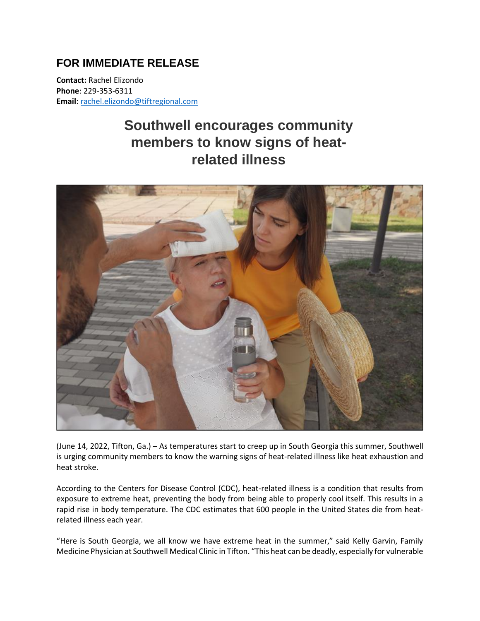## **FOR IMMEDIATE RELEASE**

**Contact:** Rachel Elizondo **Phone**: 229-353-6311 **Email**[: rachel.elizondo@tiftregional.com](mailto:rachel.elizondo@tiftregional.com)

## **Southwell encourages community members to know signs of heatrelated illness**



(June 14, 2022, Tifton, Ga.) – As temperatures start to creep up in South Georgia this summer, Southwell is urging community members to know the warning signs of heat-related illness like heat exhaustion and heat stroke.

According to the Centers for Disease Control (CDC), heat-related illness is a condition that results from exposure to extreme heat, preventing the body from being able to properly cool itself. This results in a rapid rise in body temperature. The CDC estimates that 600 people in the United States die from heatrelated illness each year.

"Here is South Georgia, we all know we have extreme heat in the summer," said Kelly Garvin, Family Medicine Physician at Southwell Medical Clinic in Tifton. "This heat can be deadly, especially for vulnerable